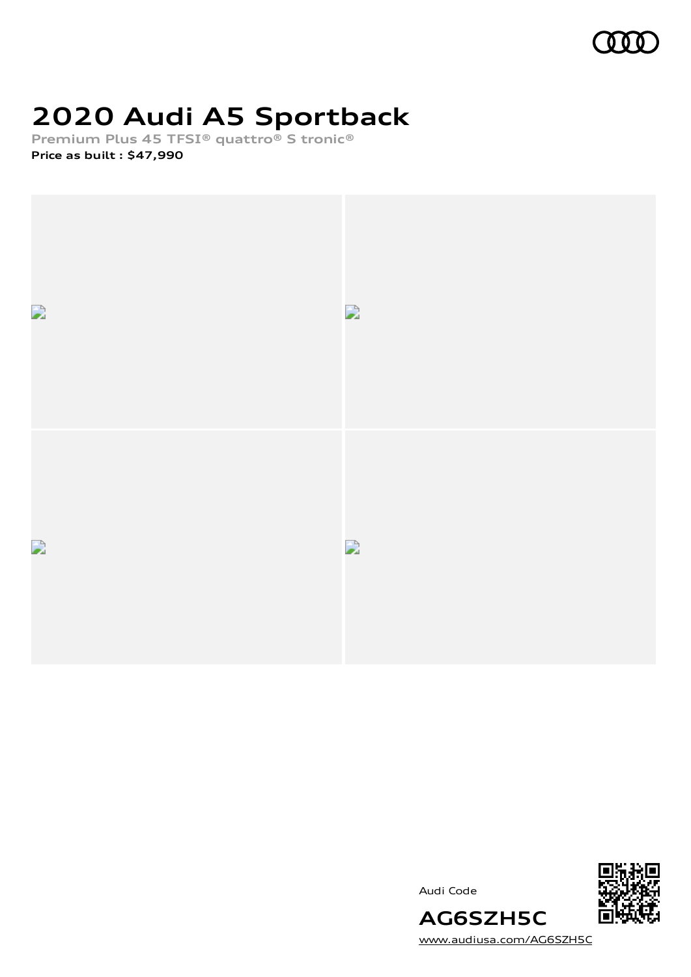

# **2020 Audi A5 Sportback**

**Premium Plus 45 TFSI® quattro® S tronic®**

**Price as built [:](#page-8-0) \$47,990**



Audi Code



[www.audiusa.com/AG6SZH5C](https://www.audiusa.com/AG6SZH5C)

**AG6SZH5C**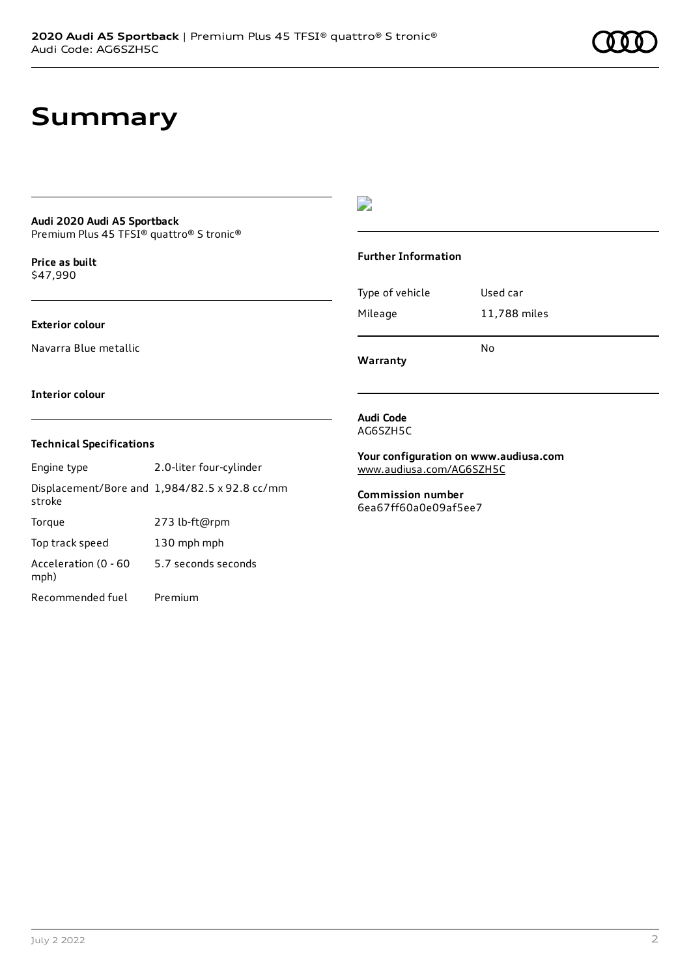### **Summary**

#### **Audi 2020 Audi A5 Sportback** Premium Plus 45 TFSI® quattro® S tronic®

**Price as buil[t](#page-8-0)** \$47,990

#### **Exterior colour**

Navarra Blue metallic

#### **Interior colour**

#### **Technical Specifications**

| Engine type                  | 2.0-liter four-cylinder                       |
|------------------------------|-----------------------------------------------|
| stroke                       | Displacement/Bore and 1,984/82.5 x 92.8 cc/mm |
| Torque                       | 273 lb-ft@rpm                                 |
| Top track speed              | 130 mph mph                                   |
| Acceleration (0 - 60<br>mph) | 5.7 seconds seconds                           |
| Recommended fuel             | Premium                                       |

### $\overline{\phantom{a}}$

#### **Further Information**

| Type of vehicle | Used car     |
|-----------------|--------------|
| Mileage         | 11,788 miles |
|                 |              |

**Warranty**

**Audi Code** AG6SZH5C

**Your configuration on www.audiusa.com** [www.audiusa.com/AG6SZH5C](https://www.audiusa.com/AG6SZH5C)

No

**Commission number** 6ea67ff60a0e09af5ee7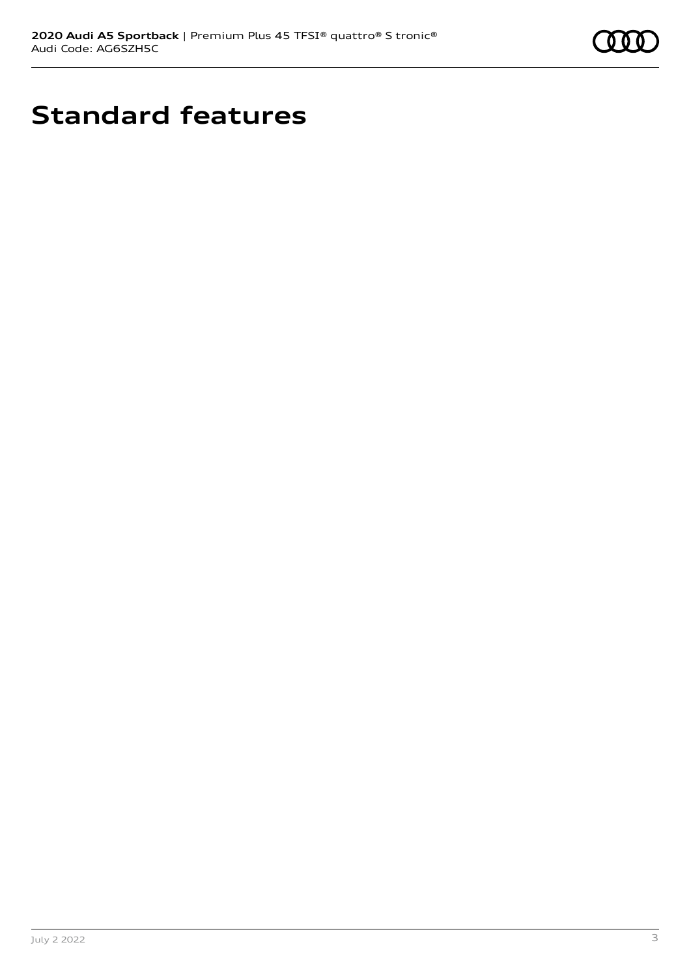

# **Standard features**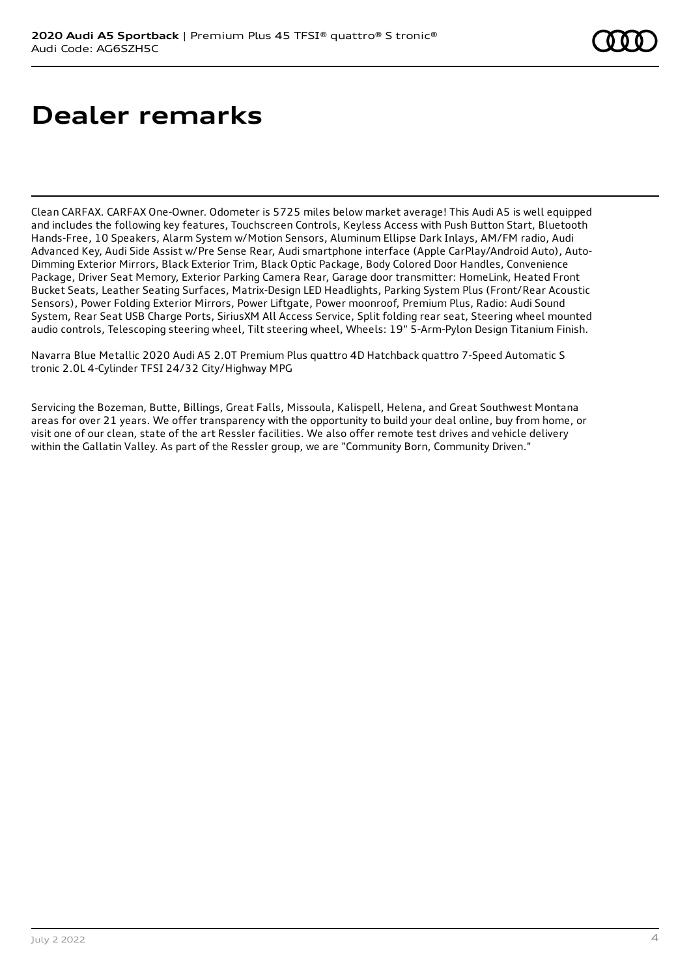# **Dealer remarks**

Clean CARFAX. CARFAX One-Owner. Odometer is 5725 miles below market average! This Audi A5 is well equipped and includes the following key features, Touchscreen Controls, Keyless Access with Push Button Start, Bluetooth Hands-Free, 10 Speakers, Alarm System w/Motion Sensors, Aluminum Ellipse Dark Inlays, AM/FM radio, Audi Advanced Key, Audi Side Assist w/Pre Sense Rear, Audi smartphone interface (Apple CarPlay/Android Auto), Auto-Dimming Exterior Mirrors, Black Exterior Trim, Black Optic Package, Body Colored Door Handles, Convenience Package, Driver Seat Memory, Exterior Parking Camera Rear, Garage door transmitter: HomeLink, Heated Front Bucket Seats, Leather Seating Surfaces, Matrix-Design LED Headlights, Parking System Plus (Front/Rear Acoustic Sensors), Power Folding Exterior Mirrors, Power Liftgate, Power moonroof, Premium Plus, Radio: Audi Sound System, Rear Seat USB Charge Ports, SiriusXM All Access Service, Split folding rear seat, Steering wheel mounted audio controls, Telescoping steering wheel, Tilt steering wheel, Wheels: 19" 5-Arm-Pylon Design Titanium Finish.

Navarra Blue Metallic 2020 Audi A5 2.0T Premium Plus quattro 4D Hatchback quattro 7-Speed Automatic S tronic 2.0L 4-Cylinder TFSI 24/32 City/Highway MPG

Servicing the Bozeman, Butte, Billings, Great Falls, Missoula, Kalispell, Helena, and Great Southwest Montana areas for over 21 years. We offer transparency with the opportunity to build your deal online, buy from home, or visit one of our clean, state of the art Ressler facilities. We also offer remote test drives and vehicle delivery within the Gallatin Valley. As part of the Ressler group, we are "Community Born, Community Driven."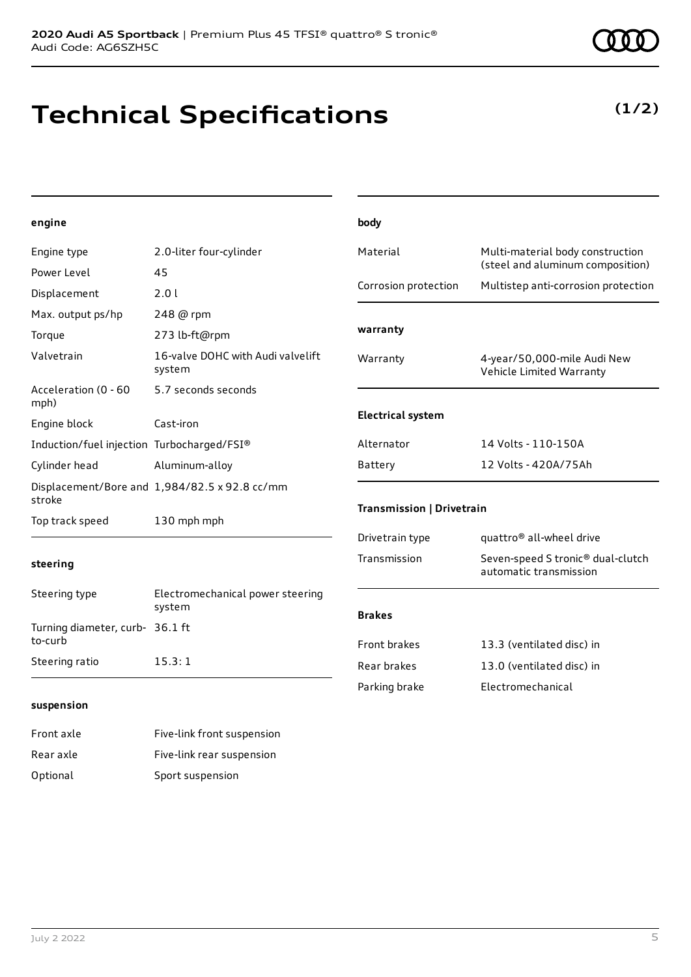## **Technical Specifications**

#### **engine**

| Engine type                                | 2.0-liter four-cylinder                       | Material                  | Multi-material body construction<br>(steel and aluminum composition) |
|--------------------------------------------|-----------------------------------------------|---------------------------|----------------------------------------------------------------------|
| Power Level                                | 45                                            |                           |                                                                      |
| Displacement                               | 2.0 l                                         | Corrosion protection      | Multistep anti-corrosion protection                                  |
| Max. output ps/hp                          | 248 @ rpm                                     |                           |                                                                      |
| Torque                                     | 273 lb-ft@rpm                                 | warranty                  |                                                                      |
| Valvetrain                                 | 16-valve DOHC with Audi valvelift<br>system   | Warranty                  | 4-year/50,000-mile Audi New<br>Vehicle Limited Warranty              |
| Acceleration (0 - 60<br>mph)               | 5.7 seconds seconds                           |                           |                                                                      |
| Engine block                               | Cast-iron                                     | <b>Electrical system</b>  |                                                                      |
| Induction/fuel injection Turbocharged/FSI® |                                               | Alternator                | 14 Volts - 110-150A                                                  |
| Cylinder head                              | Aluminum-alloy                                | Battery                   | 12 Volts - 420A/75Ah                                                 |
| stroke                                     | Displacement/Bore and 1,984/82.5 x 92.8 cc/mm |                           |                                                                      |
| Top track speed                            | 130 mph mph                                   | Transmission   Drivetrain |                                                                      |
|                                            |                                               | Drivetrain type           | quattro <sup>®</sup> all-wheel drive                                 |
| steering                                   |                                               | Transmission              | Seven-speed S tronic® dual-clutch<br>automatic transmission          |
| Steering type                              | Electromechanical power steering<br>system    | <b>Brakes</b>             |                                                                      |
| Turning diameter, curb- 36.1 ft<br>to-curb |                                               | Front brakes              | 13.3 (ventilated disc) in                                            |
| Steering ratio                             | 15.3:1                                        | Rear brakes               | 13.0 (ventilated disc) in                                            |

Parking brake **Electromechanical** 

**body**

#### **suspension**

| Front axle | Five-link front suspension |
|------------|----------------------------|
| Rear axle  | Five-link rear suspension  |
| Optional   | Sport suspension           |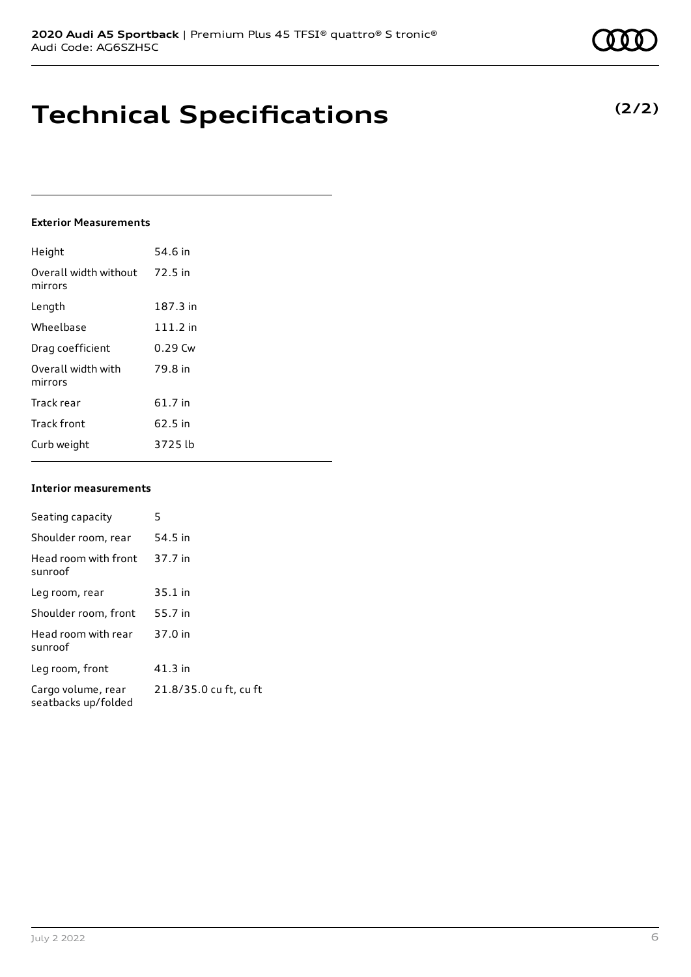### **Technical Specifications**

#### **Exterior Measurements**

| Height                           | 54.6 in    |
|----------------------------------|------------|
| Overall width without<br>mirrors | 72.5 in    |
| Length                           | 187.3 in   |
| Wheelbase                        | $111.2$ in |
| Drag coefficient                 | $0.29$ Cw  |
| Overall width with<br>mirrors    | 79.8 in    |
| Track rear                       | 61.7 in    |
| <b>Track front</b>               | 62.5 in    |
| Curb weight                      | 3725 lb    |

#### **Interior measurements**

| Seating capacity                          | 5                      |
|-------------------------------------------|------------------------|
| Shoulder room, rear                       | 54.5 in                |
| Head room with front<br>sunroof           | 37.7 in                |
| Leg room, rear                            | $35.1$ in              |
| Shoulder room, front                      | 55.7 in                |
| Head room with rear<br>sunroof            | 37.0 in                |
| Leg room, front                           | $41.3$ in              |
| Cargo volume, rear<br>seatbacks up/folded | 21.8/35.0 cu ft, cu ft |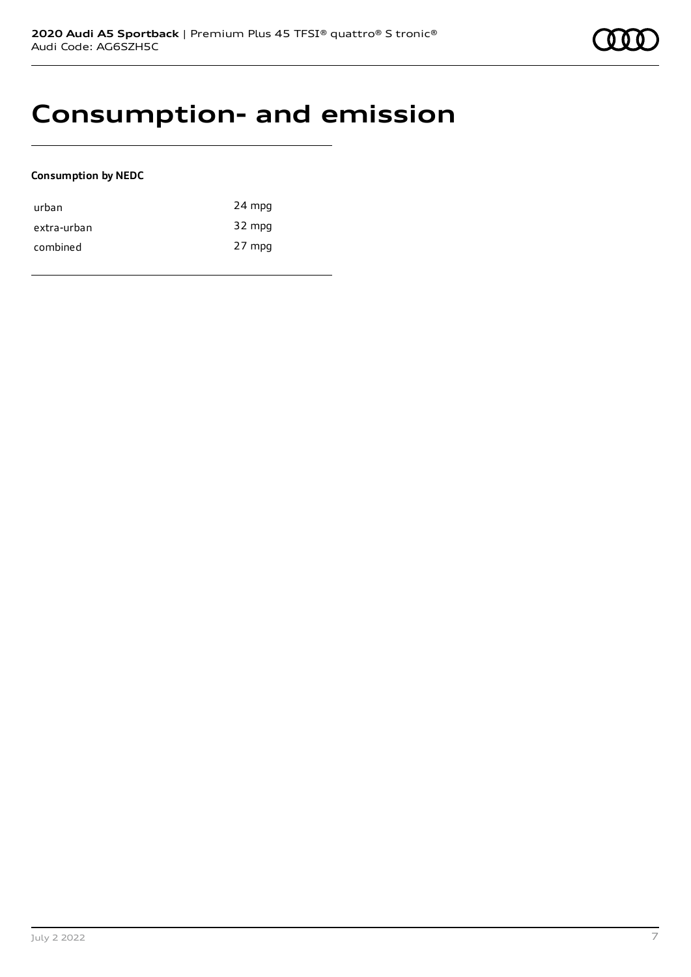### **Consumption- and emission**

#### **Consumption by NEDC**

| urban       | 24 mpg |
|-------------|--------|
| extra-urban | 32 mpg |
| combined    | 27 mpg |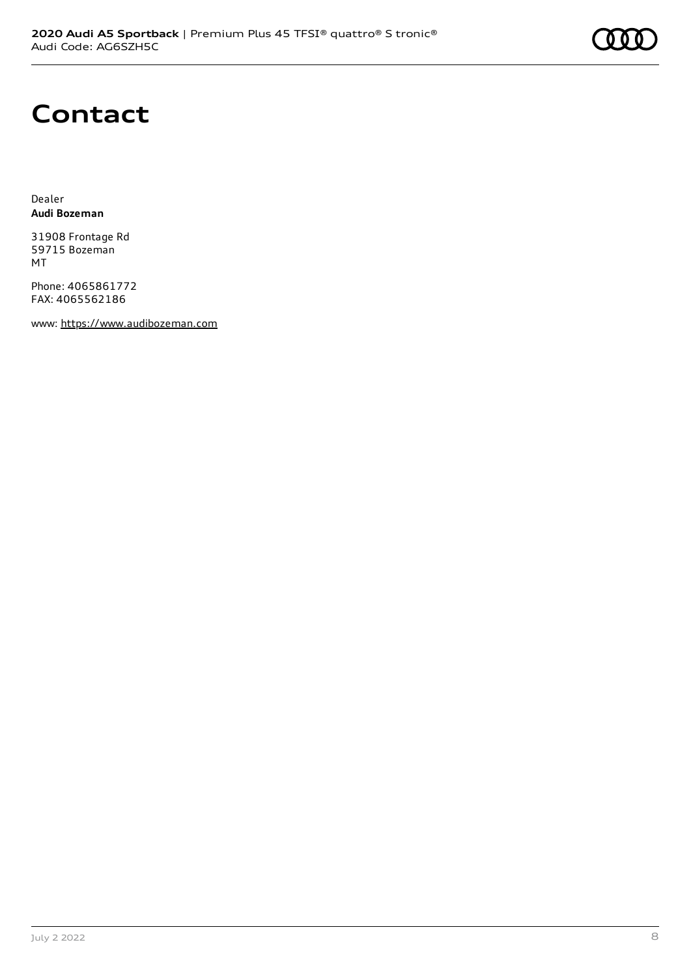# **Contact**

Dealer **Audi Bozeman**

31908 Frontage Rd 59715 Bozeman MT

Phone: 4065861772 FAX: 4065562186

www: [https://www.audibozeman.com](https://www.audibozeman.com/)